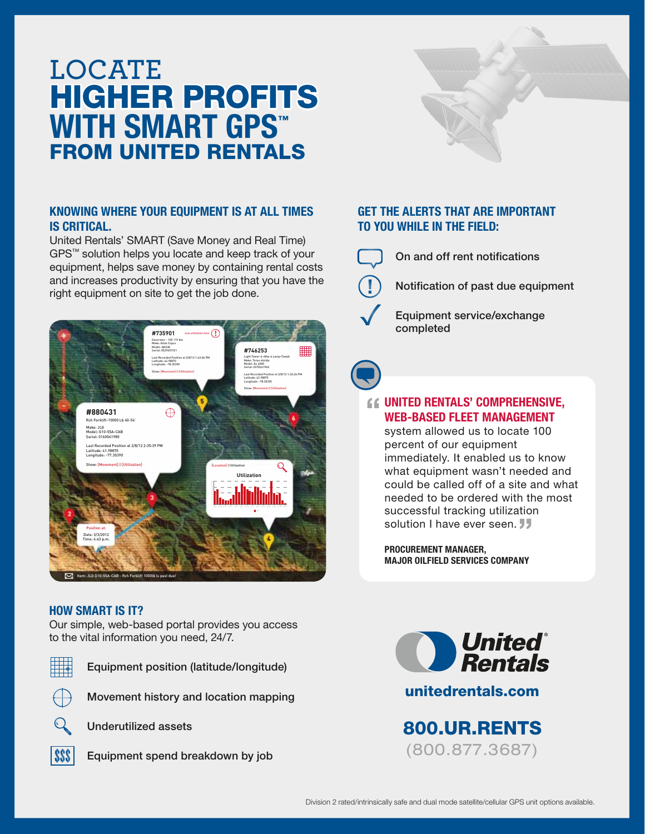# HIGHER PROFITS **LOCATE** WITH SMART GPS™ FROM UNITED RENTALS

### KNOWING WHERE YOUR EQUIPMENT IS AT ALL TIMES IS CRITICAL.

United Rentals' SMART (Save Money and Real Time) GPS™ solution helps you locate and keep track of your equipment, helps save money by containing rental costs and increases productivity by ensuring that you have the right equipment on site to get the job done.



### HOW SMART IS IT?

Our simple, web-based portal provides you access to the vital information you need, 24/7.



Equipment position (latitude/longitude)



Movement history and location mapping



Underutilized assets



**SSS** Equipment spend breakdown by job

## GET THE ALERTS THAT ARE IMPORTANT TO YOU WHILE IN THE FIELD:



On and off rent notifications

Notification of past due equipment

 Equipment service/exchange completed

# UNITED RENTALS' COMPREHENSIVE, WEB-BASED FLEET MANAGEMENT

system allowed us to locate 100 percent of our equipment immediately. It enabled us to know what equipment wasn't needed and could be called off of a site and what needed to be ordered with the most successful tracking utilization solution I have ever seen. **JJ** 

PROCUREMENT MANAGER, MAJOR OILFIELD SERVICES COMPANY



unitedrentals.com